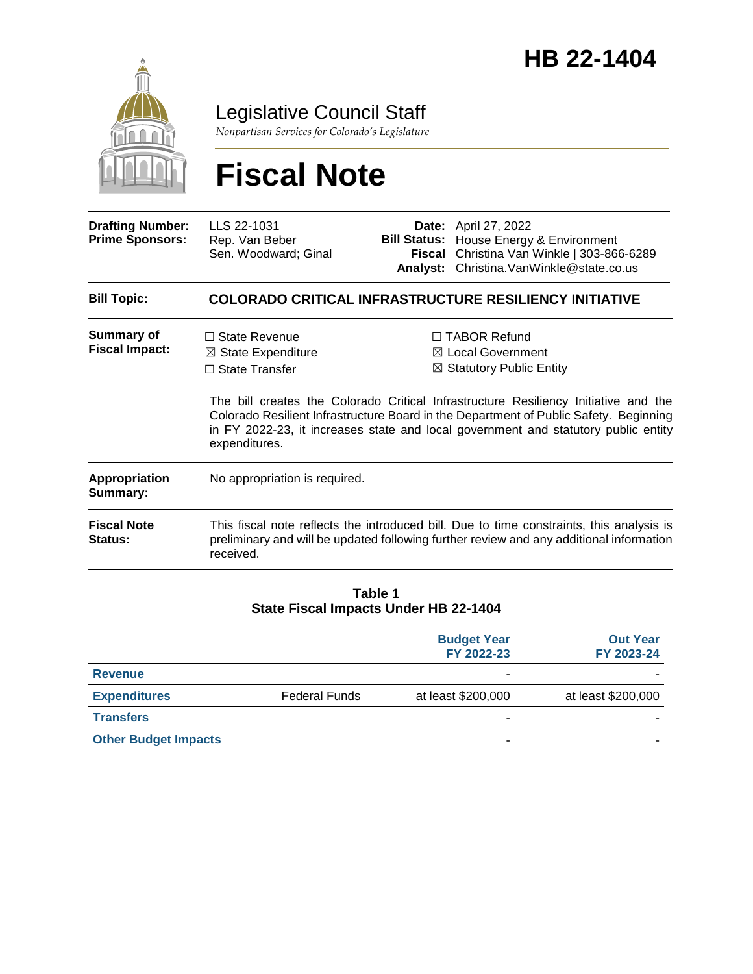

## Legislative Council Staff

*Nonpartisan Services for Colorado's Legislature*

# **Fiscal Note**

| <b>Drafting Number:</b><br><b>Prime Sponsors:</b> | LLS 22-1031<br>Rep. Van Beber<br>Sen. Woodward; Ginal                                                                                                                                            | Analyst: | <b>Date:</b> April 27, 2022<br><b>Bill Status:</b> House Energy & Environment<br>Fiscal Christina Van Winkle   303-866-6289<br>Christina. Van Winkle@state.co.us                                                                                                                                                                                                 |  |  |
|---------------------------------------------------|--------------------------------------------------------------------------------------------------------------------------------------------------------------------------------------------------|----------|------------------------------------------------------------------------------------------------------------------------------------------------------------------------------------------------------------------------------------------------------------------------------------------------------------------------------------------------------------------|--|--|
| <b>Bill Topic:</b>                                | <b>COLORADO CRITICAL INFRASTRUCTURE RESILIENCY INITIATIVE</b>                                                                                                                                    |          |                                                                                                                                                                                                                                                                                                                                                                  |  |  |
| <b>Summary of</b><br><b>Fiscal Impact:</b>        | $\Box$ State Revenue<br>$\boxtimes$ State Expenditure<br>$\Box$ State Transfer<br>expenditures.                                                                                                  |          | $\Box$ TABOR Refund<br>$\boxtimes$ Local Government<br>$\boxtimes$ Statutory Public Entity<br>The bill creates the Colorado Critical Infrastructure Resiliency Initiative and the<br>Colorado Resilient Infrastructure Board in the Department of Public Safety. Beginning<br>in FY 2022-23, it increases state and local government and statutory public entity |  |  |
| <b>Appropriation</b><br>Summary:                  | No appropriation is required.                                                                                                                                                                    |          |                                                                                                                                                                                                                                                                                                                                                                  |  |  |
| <b>Fiscal Note</b><br>Status:                     | This fiscal note reflects the introduced bill. Due to time constraints, this analysis is<br>preliminary and will be updated following further review and any additional information<br>received. |          |                                                                                                                                                                                                                                                                                                                                                                  |  |  |

#### **Table 1 State Fiscal Impacts Under HB 22-1404**

|                             |                      | <b>Budget Year</b><br>FY 2022-23 | <b>Out Year</b><br>FY 2023-24 |
|-----------------------------|----------------------|----------------------------------|-------------------------------|
| <b>Revenue</b>              |                      | -                                |                               |
| <b>Expenditures</b>         | <b>Federal Funds</b> | at least \$200,000               | at least \$200,000            |
| <b>Transfers</b>            |                      | -                                |                               |
| <b>Other Budget Impacts</b> |                      | ۰                                |                               |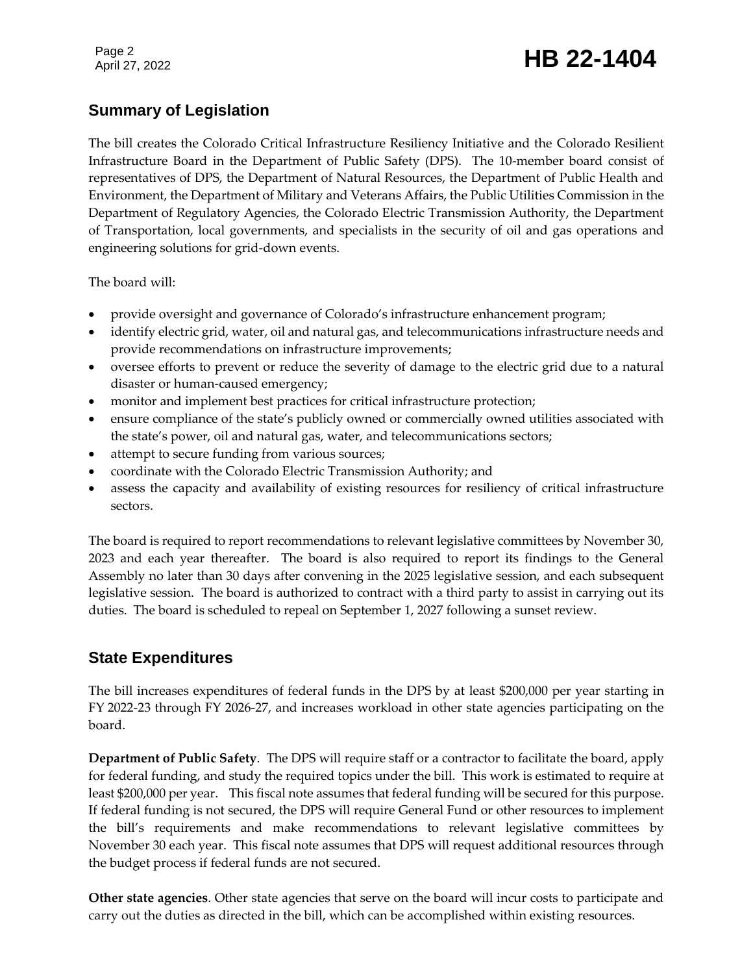## Page 2<br>April 27, 2022 **HB 22-1404**

### **Summary of Legislation**

The bill creates the Colorado Critical Infrastructure Resiliency Initiative and the Colorado Resilient Infrastructure Board in the Department of Public Safety (DPS). The 10-member board consist of representatives of DPS, the Department of Natural Resources, the Department of Public Health and Environment, the Department of Military and Veterans Affairs, the Public Utilities Commission in the Department of Regulatory Agencies, the Colorado Electric Transmission Authority, the Department of Transportation, local governments, and specialists in the security of oil and gas operations and engineering solutions for grid-down events.

The board will:

- provide oversight and governance of Colorado's infrastructure enhancement program;
- identify electric grid, water, oil and natural gas, and telecommunications infrastructure needs and provide recommendations on infrastructure improvements;
- oversee efforts to prevent or reduce the severity of damage to the electric grid due to a natural disaster or human-caused emergency;
- monitor and implement best practices for critical infrastructure protection;
- ensure compliance of the state's publicly owned or commercially owned utilities associated with the state's power, oil and natural gas, water, and telecommunications sectors;
- attempt to secure funding from various sources;
- coordinate with the Colorado Electric Transmission Authority; and
- assess the capacity and availability of existing resources for resiliency of critical infrastructure sectors.

The board is required to report recommendations to relevant legislative committees by November 30, 2023 and each year thereafter. The board is also required to report its findings to the General Assembly no later than 30 days after convening in the 2025 legislative session, and each subsequent legislative session. The board is authorized to contract with a third party to assist in carrying out its duties. The board is scheduled to repeal on September 1, 2027 following a sunset review.

#### **State Expenditures**

The bill increases expenditures of federal funds in the DPS by at least \$200,000 per year starting in FY 2022-23 through FY 2026-27, and increases workload in other state agencies participating on the board.

**Department of Public Safety**. The DPS will require staff or a contractor to facilitate the board, apply for federal funding, and study the required topics under the bill. This work is estimated to require at least \$200,000 per year. This fiscal note assumes that federal funding will be secured for this purpose. If federal funding is not secured, the DPS will require General Fund or other resources to implement the bill's requirements and make recommendations to relevant legislative committees by November 30 each year. This fiscal note assumes that DPS will request additional resources through the budget process if federal funds are not secured.

**Other state agencies**. Other state agencies that serve on the board will incur costs to participate and carry out the duties as directed in the bill, which can be accomplished within existing resources.